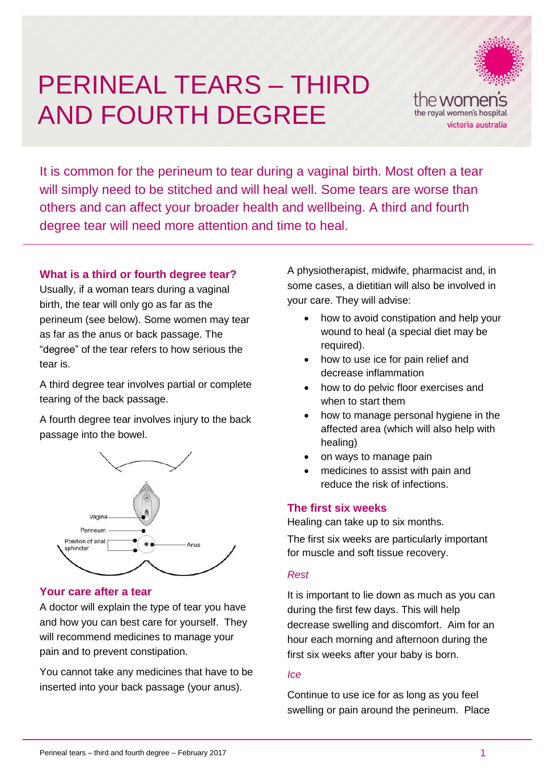# AND FOLIRTH PERINEAL TEARS – THIRD AND FOURTH DEGREE



It is common for the perineum to tear during a vaginal birth. Most often a tear will simply need to be stitched and will heal well. Some tears are worse than others and can affect your broader health and wellbeing. A third and fourth degree tear will need more attention and time to heal.

# **What is a third or fourth degree tear?**

Usually, if a woman tears during a vaginal birth, the tear will only go as far as the perineum (see below). Some women may tear as far as the anus or back passage. The "degree" of the tear refers to how serious the tear is.

A third degree tear involves partial or complete tearing of the back passage.

A fourth degree tear involves injury to the back passage into the bowel.



# **Your care after a tear**

A doctor will explain the type of tear you have and how you can best care for yourself. They will recommend medicines to manage your pain and to prevent constipation.

You cannot take any medicines that have to be inserted into your back passage (your anus).

A physiotherapist, midwife, pharmacist and, in some cases, a dietitian will also be involved in your care. They will advise:

- how to avoid constipation and help your wound to heal (a special diet may be required).
- how to use ice for pain relief and decrease inflammation
- how to do pelvic floor exercises and when to start them
- how to manage personal hygiene in the affected area (which will also help with healing)
- on ways to manage pain
- medicines to assist with pain and reduce the risk of infections.

# **The first six weeks**

Healing can take up to six months.

The first six weeks are particularly important for muscle and soft tissue recovery.

#### *Rest*

It is important to lie down as much as you can during the first few days. This will help decrease swelling and discomfort. Aim for an hour each morning and afternoon during the first six weeks after your baby is born.

#### *Ice*

Continue to use ice for as long as you feel swelling or pain around the perineum. Place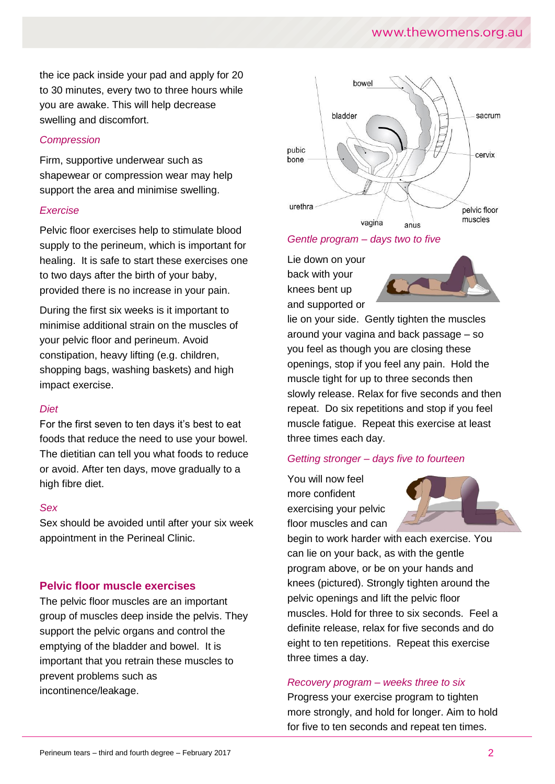# www.thewomens.org.au

the ice pack inside your pad and apply for 20 to 30 minutes, every two to three hours while you are awake. This will help decrease swelling and discomfort.

#### *Compression*

Firm, supportive underwear such as shapewear or compression wear may help support the area and minimise swelling.

#### *Exercise*

Pelvic floor exercises help to stimulate blood supply to the perineum, which is important for healing. It is safe to start these exercises one to two days after the birth of your baby, provided there is no increase in your pain.

During the first six weeks is it important to minimise additional strain on the muscles of your pelvic floor and perineum. Avoid constipation, heavy lifting (e.g. children, shopping bags, washing baskets) and high impact exercise.

#### *Diet*

For the first seven to ten days it's best to eat foods that reduce the need to use your bowel. The dietitian can tell you what foods to reduce or avoid. After ten days, move gradually to a high fibre diet.

#### *Sex*

Sex should be avoided until after your six week appointment in the Perineal Clinic.

# **Pelvic floor muscle exercises**

The pelvic floor muscles are an important group of muscles deep inside the pelvis. They support the pelvic organs and control the emptying of the bladder and bowel. It is important that you retrain these muscles to prevent problems such as incontinence/leakage.



#### *Gentle program – days two to five*

Lie down on your back with your knees bent up and supported or



lie on your side. Gently tighten the muscles around your vagina and back passage – so you feel as though you are closing these openings, stop if you feel any pain. Hold the muscle tight for up to three seconds then slowly release. Relax for five seconds and then repeat. Do six repetitions and stop if you feel muscle fatigue. Repeat this exercise at least three times each day.

#### *Getting stronger – days five to fourteen*

You will now feel more confident exercising your pelvic floor muscles and can



begin to work harder with each exercise. You can lie on your back, as with the gentle program above, or be on your hands and knees (pictured). Strongly tighten around the pelvic openings and lift the pelvic floor muscles. Hold for three to six seconds. Feel a definite release, relax for five seconds and do eight to ten repetitions. Repeat this exercise three times a day.

#### *Recovery program – weeks three to six*

Progress your exercise program to tighten more strongly, and hold for longer. Aim to hold for five to ten seconds and repeat ten times.